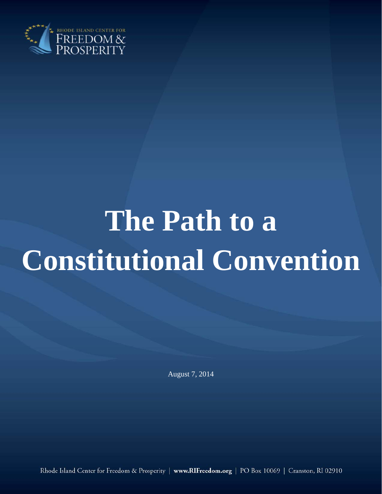

# **The Path to a Constitutional Convention**

August 7, 2014

Rhode Island Center for Freedom & Prosperity | www.RIFreedom.org | PO Box 10069 | Cranston, RI 02910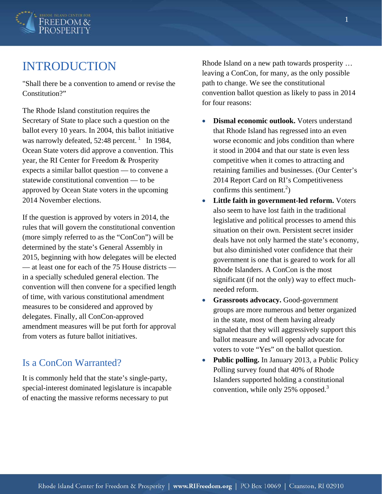

## INTRODUCTION

"Shall there be a convention to amend or revise the Constitution?"

The Rhode Island constitution requires the Secretary of State to place such a question on the ballot every 10 years. In 2004, this ballot initiative was narrowly defeated,  $52:48$  percent.<sup>1</sup> In 1984, Ocean State voters did approve a convention. This year, the RI Center for Freedom & Prosperity expects a similar ballot question — to convene a statewide constitutional convention — to be approved by Ocean State voters in the upcoming 2014 November elections.

If the question is approved by voters in 2014, the rules that will govern the constitutional convention (more simply referred to as the "ConCon") will be determined by the state's General Assembly in 2015, beginning with how delegates will be elected — at least one for each of the 75 House districts in a specially scheduled general election. The convention will then convene for a specified length of time, with various constitutional amendment measures to be considered and approved by delegates. Finally, all ConCon-approved amendment measures will be put forth for approval from voters as future ballot initiatives.

#### Is a ConCon Warranted?

It is commonly held that the state's single-party, special-interest dominated legislature is incapable of enacting the massive reforms necessary to put

Rhode Island on a new path towards prosperity … leaving a ConCon, for many, as the only possible path to change. We see the constitutional convention ballot question as likely to pass in 2014 for four reasons:

- **Dismal economic outlook.** Voters understand that Rhode Island has regressed into an even worse economic and jobs condition than where it stood in 2004 and that our state is even less competitive when it comes to attracting and retaining families and businesses. (Our Center's 2014 Report Card on RI's Competitiveness confirms this sentiment.<sup>2</sup>)
- **Little faith in government-led reform.** Voters also seem to have lost faith in the traditional legislative and political processes to amend this situation on their own. Persistent secret insider deals have not only harmed the state's economy, but also diminished voter confidence that their government is one that is geared to work for all Rhode Islanders. A ConCon is the most significant (if not the only) way to effect muchneeded reform.
- **Grassroots advocacy.** Good-government groups are more numerous and better organized in the state, most of them having already signaled that they will aggressively support this ballot measure and will openly advocate for voters to vote "Yes" on the ballot question.
- Public polling. In January 2013, a Public Policy Polling survey found that 40% of Rhode Islanders supported holding a constitutional convention, while only 25% opposed.<sup>3</sup>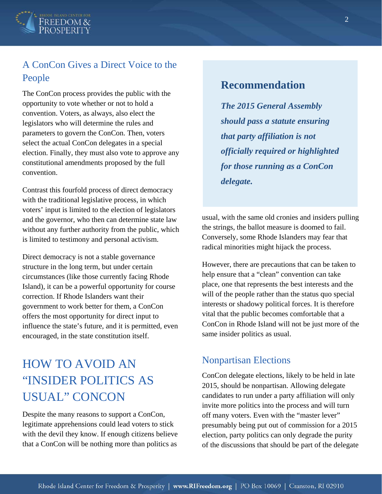

## A ConCon Gives a Direct Voice to the People

The ConCon process provides the public with the opportunity to vote whether or not to hold a convention. Voters, as always, also elect the legislators who will determine the rules and parameters to govern the ConCon. Then, voters select the actual ConCon delegates in a special election. Finally, they must also vote to approve any constitutional amendments proposed by the full convention.

Contrast this fourfold process of direct democracy with the traditional legislative process, in which voters' input is limited to the election of legislators and the governor, who then can determine state law without any further authority from the public, which is limited to testimony and personal activism.

Direct democracy is not a stable governance structure in the long term, but under certain circumstances (like those currently facing Rhode Island), it can be a powerful opportunity for course correction. If Rhode Islanders want their government to work better for them, a ConCon offers the most opportunity for direct input to influence the state's future, and it is permitted, even encouraged, in the state constitution itself.

# HOW TO AVOID AN "INSIDER POLITICS AS USUAL" CONCON

Despite the many reasons to support a ConCon, legitimate apprehensions could lead voters to stick with the devil they know. If enough citizens believe that a ConCon will be nothing more than politics as

## **Recommendation**

*The 2015 General Assembly should pass a statute ensuring that party affiliation is not officially required or highlighted for those running as a ConCon delegate.* 

usual, with the same old cronies and insiders pulling the strings, the ballot measure is doomed to fail. Conversely, some Rhode Islanders may fear that radical minorities might hijack the process.

However, there are precautions that can be taken to help ensure that a "clean" convention can take place, one that represents the best interests and the will of the people rather than the status quo special interests or shadowy political forces. It is therefore vital that the public becomes comfortable that a ConCon in Rhode Island will not be just more of the same insider politics as usual.

#### Nonpartisan Elections

ConCon delegate elections, likely to be held in late 2015, should be nonpartisan. Allowing delegate candidates to run under a party affiliation will only invite more politics into the process and will turn off many voters. Even with the "master lever" presumably being put out of commission for a 2015 election, party politics can only degrade the purity of the discussions that should be part of the delegate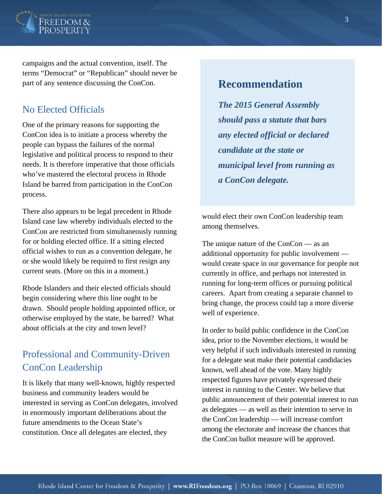

campaigns and the actual convention, itself. The terms "Democrat" or "Republican" should never be part of any sentence discussing the ConCon.

#### No Elected Officials

One of the primary reasons for supporting the ConCon idea is to initiate a process whereby the people can bypass the failures of the normal legislative and political process to respond to their needs. It is therefore imperative that those officials who've mastered the electoral process in Rhode Island be barred from participation in the ConCon process.

There also appears to be legal precedent in Rhode Island case law whereby individuals elected to the ConCon are restricted from simultaneously running for or holding elected office. If a sitting elected official wishes to run as a convention delegate, he or she would likely be required to first resign any current seats. (More on this in a moment.)

Rhode Islanders and their elected officials should begin considering where this line ought to be drawn. Should people holding appointed office, or otherwise employed by the state, be barred? What about officials at the city and town level?

## Professional and Community-Driven ConCon Leadership

It is likely that many well-known, highly respected business and community leaders would be interested in serving as ConCon delegates, involved in enormously important deliberations about the future amendments to the Ocean State's constitution. Once all delegates are elected, they

## **Recommendation**

*The 2015 General Assembly should pass a statute that bars any elected official or declared candidate at the state or municipal level from running as a ConCon delegate.* 

would elect their own ConCon leadership team among themselves.

The unique nature of the ConCon — as an additional opportunity for public involvement would create space in our governance for people not currently in office, and perhaps not interested in running for long-term offices or pursuing political careers. Apart from creating a separate channel to bring change, the process could tap a more diverse well of experience.

In order to build public confidence in the ConCon idea, prior to the November elections, it would be very helpful if such individuals interested in running for a delegate seat make their potential candidacies known, well ahead of the vote. Many highly respected figures have privately expressed their interest in running to the Center. We believe that public announcement of their potential interest to run as delegates — as well as their intention to serve in the ConCon leadership — will increase comfort among the electorate and increase the chances that the ConCon ballot measure will be approved.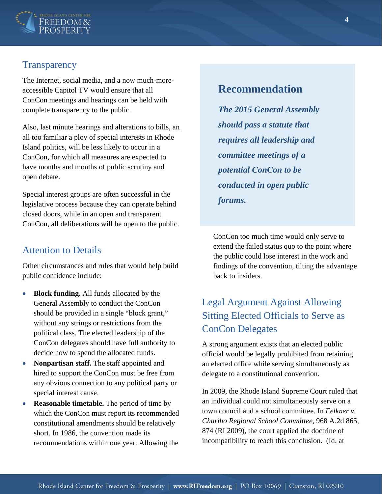

#### **Transparency**

The Internet, social media, and a now much-moreaccessible Capitol TV would ensure that all ConCon meetings and hearings can be held with complete transparency to the public.

Also, last minute hearings and alterations to bills, an all too familiar a ploy of special interests in Rhode Island politics, will be less likely to occur in a ConCon, for which all measures are expected to have months and months of public scrutiny and open debate.

Special interest groups are often successful in the legislative process because they can operate behind closed doors, while in an open and transparent ConCon, all deliberations will be open to the public.

#### Attention to Details

Other circumstances and rules that would help build public confidence include:

- **Block funding.** All funds allocated by the General Assembly to conduct the ConCon should be provided in a single "block grant," without any strings or restrictions from the political class. The elected leadership of the ConCon delegates should have full authority to decide how to spend the allocated funds.
- **Nonpartisan staff.** The staff appointed and hired to support the ConCon must be free from any obvious connection to any political party or special interest cause.
- **Reasonable timetable.** The period of time by which the ConCon must report its recommended constitutional amendments should be relatively short. In 1986, the convention made its recommendations within one year. Allowing the

### **Recommendation**

*The 2015 General Assembly should pass a statute that requires all leadership and committee meetings of a potential ConCon to be conducted in open public forums.* 

ConCon too much time would only serve to extend the failed status quo to the point where the public could lose interest in the work and findings of the convention, tilting the advantage back to insiders.

## Legal Argument Against Allowing Sitting Elected Officials to Serve as ConCon Delegates

A strong argument exists that an elected public official would be legally prohibited from retaining an elected office while serving simultaneously as delegate to a constitutional convention.

In 2009, the Rhode Island Supreme Court ruled that an individual could not simultaneously serve on a town council and a school committee. In *Felkner v. Chariho Regional School Committee,* 968 A.2d 865, 874 (RI 2009), the court applied the doctrine of incompatibility to reach this conclusion. (Id. at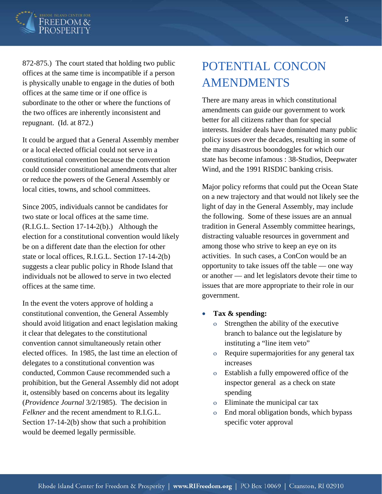

872-875.) The court stated that holding two public offices at the same time is incompatible if a person is physically unable to engage in the duties of both offices at the same time or if one office is subordinate to the other or where the functions of the two offices are inherently inconsistent and repugnant. (Id. at 872.)

It could be argued that a General Assembly member or a local elected official could not serve in a constitutional convention because the convention could consider constitutional amendments that alter or reduce the powers of the General Assembly or local cities, towns, and school committees.

Since 2005, individuals cannot be candidates for two state or local offices at the same time. (R.I.G.L. Section 17-14-2(b).) Although the election for a constitutional convention would likely be on a different date than the election for other state or local offices, R.I.G.L. Section 17-14-2(b) suggests a clear public policy in Rhode Island that individuals not be allowed to serve in two elected offices at the same time.

In the event the voters approve of holding a constitutional convention, the General Assembly should avoid litigation and enact legislation making it clear that delegates to the constitutional convention cannot simultaneously retain other elected offices. In 1985, the last time an election of delegates to a constitutional convention was conducted, Common Cause recommended such a prohibition, but the General Assembly did not adopt it, ostensibly based on concerns about its legality (*Providence Journal* 3/2/1985). The decision in *Felkner* and the recent amendment to R.I.G.L. Section 17-14-2(b) show that such a prohibition would be deemed legally permissible.

# POTENTIAL CONCON AMENDMENTS

There are many areas in which constitutional amendments can guide our government to work better for all citizens rather than for special interests. Insider deals have dominated many public policy issues over the decades, resulting in some of the many disastrous boondoggles for which our state has become infamous : 38-Studios, Deepwater Wind, and the 1991 RISDIC banking crisis.

Major policy reforms that could put the Ocean State on a new trajectory and that would not likely see the light of day in the General Assembly, may include the following. Some of these issues are an annual tradition in General Assembly committee hearings, distracting valuable resources in government and among those who strive to keep an eye on its activities. In such cases, a ConCon would be an opportunity to take issues off the table — one way or another — and let legislators devote their time to issues that are more appropriate to their role in our government.

- **Tax & spending:** 
	- o Strengthen the ability of the executive branch to balance out the legislature by instituting a "line item veto"
	- o Require supermajorities for any general tax increases
	- o Establish a fully empowered office of the inspector general as a check on state spending
	- o Eliminate the municipal car tax
	- o End moral obligation bonds, which bypass specific voter approval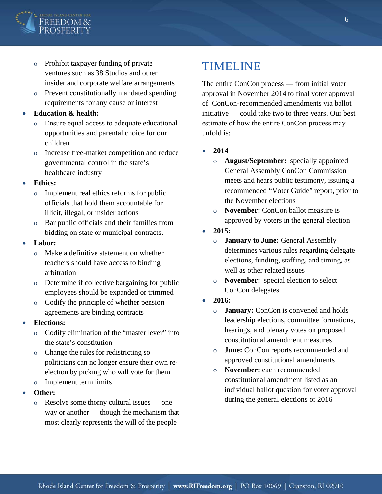

- o Prohibit taxpayer funding of private ventures such as 38 Studios and other insider and corporate welfare arrangements
- o Prevent constitutionally mandated spending requirements for any cause or interest

#### **Education & health:**

- Ensure equal access to adequate educational opportunities and parental choice for our children
- o Increase free-market competition and reduce governmental control in the state's healthcare industry

#### **Ethics:**

- o Implement real ethics reforms for public officials that hold them accountable for illicit, illegal, or insider actions
- o Bar public officials and their families from bidding on state or municipal contracts.

#### **Labor:**

- o Make a definitive statement on whether teachers should have access to binding arbitration
- o Determine if collective bargaining for public employees should be expanded or trimmed
- o Codify the principle of whether pension agreements are binding contracts

#### **Elections:**

- o Codify elimination of the "master lever" into the state's constitution
- o Change the rules for redistricting so politicians can no longer ensure their own reelection by picking who will vote for them
- o Implement term limits
- **Other:** 
	- o Resolve some thorny cultural issues one way or another — though the mechanism that most clearly represents the will of the people

## TIMELINE

The entire ConCon process — from initial voter approval in November 2014 to final voter approval of ConCon-recommended amendments via ballot initiative — could take two to three years. Our best estimate of how the entire ConCon process may unfold is:

- **2014** 
	- o **August/September:** specially appointed General Assembly ConCon Commission meets and hears public testimony, issuing a recommended "Voter Guide" report, prior to the November elections
	- o **November:** ConCon ballot measure is approved by voters in the general election
- **2015:** 
	- o **January to June:** General Assembly determines various rules regarding delegate elections, funding, staffing, and timing, as well as other related issues
	- o **November:** special election to select ConCon delegates
- **2016:** 
	- o **January:** ConCon is convened and holds leadership elections, committee formations, hearings, and plenary votes on proposed constitutional amendment measures
	- o **June:** ConCon reports recommended and approved constitutional amendments
	- o **November:** each recommended constitutional amendment listed as an individual ballot question for voter approval during the general elections of 2016